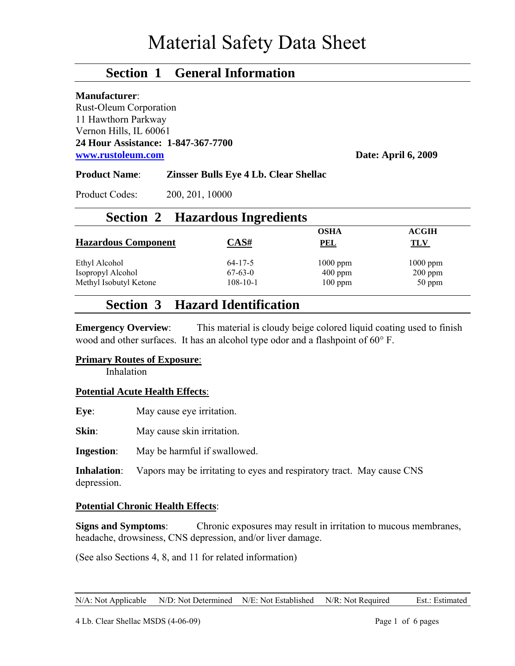## **Section 1 General Information**

#### **Manufacturer**:

Rust-Oleum Corporation 11 Hawthorn Parkway Vernon Hills, IL 60061 **24 Hour Assistance: 1-847-367-7700 [www.rustoleum.com](http://www.rustoleum.com/) Date: April 6, 2009**

#### **Product Name**: **Zinsser Bulls Eye 4 Lb. Clear Shellac**

Product Codes: 200, 201, 10000

### **Section 2 Hazardous Ingredients**

|                            |                | <b>OSHA</b> | <b>ACGIH</b> |
|----------------------------|----------------|-------------|--------------|
| <b>Hazardous Component</b> | CAS#           | <u>PEL</u>  | TLV          |
| Ethyl Alcohol              | $64 - 17 - 5$  | $1000$ ppm  | $1000$ ppm   |
| Isopropyl Alcohol          | $67 - 63 - 0$  | $400$ ppm   | $200$ ppm    |
| Methyl Isobutyl Ketone     | $108 - 10 - 1$ | $100$ ppm   | 50 ppm       |

## **Section 3 Hazard Identification**

**Emergency Overview:** This material is cloudy beige colored liquid coating used to finish wood and other surfaces. It has an alcohol type odor and a flashpoint of 60° F.

#### **Primary Routes of Exposure**:

Inhalation

#### **Potential Acute Health Effects**:

**Eye**: May cause eye irritation.

**Skin**: May cause skin irritation.

**Ingestion**: May be harmful if swallowed.

**Inhalation**: Vapors may be irritating to eyes and respiratory tract. May cause CNS depression.

### **Potential Chronic Health Effects**:

**Signs and Symptoms**: Chronic exposures may result in irritation to mucous membranes, headache, drowsiness, CNS depression, and/or liver damage.

(See also Sections 4, 8, and 11 for related information)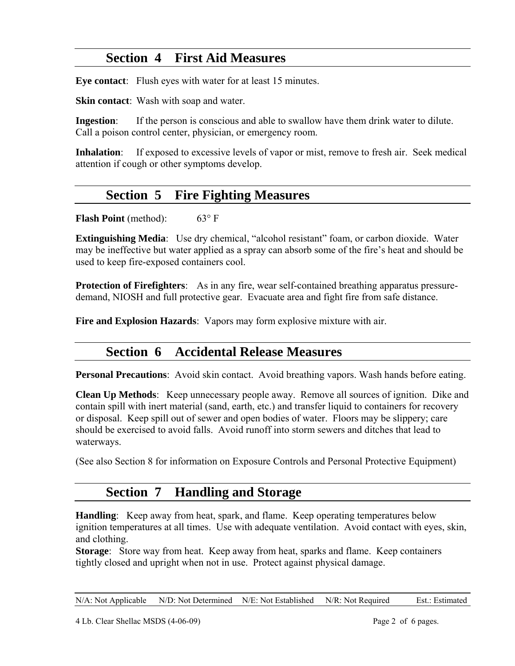# **Section 4 First Aid Measures**

**Eye contact**: Flush eyes with water for at least 15 minutes.

**Skin contact**: Wash with soap and water.

**Ingestion**: If the person is conscious and able to swallow have them drink water to dilute. Call a poison control center, physician, or emergency room.

**Inhalation**: If exposed to excessive levels of vapor or mist, remove to fresh air. Seek medical attention if cough or other symptoms develop.

## **Section 5 Fire Fighting Measures**

**Flash Point** (method): 63° F

**Extinguishing Media**: Use dry chemical, "alcohol resistant" foam, or carbon dioxide. Water may be ineffective but water applied as a spray can absorb some of the fire's heat and should be used to keep fire-exposed containers cool.

**Protection of Firefighters**: As in any fire, wear self-contained breathing apparatus pressuredemand, NIOSH and full protective gear. Evacuate area and fight fire from safe distance.

**Fire and Explosion Hazards**: Vapors may form explosive mixture with air.

# **Section 6 Accidental Release Measures**

**Personal Precautions**: Avoid skin contact. Avoid breathing vapors. Wash hands before eating.

**Clean Up Methods**: Keep unnecessary people away. Remove all sources of ignition. Dike and contain spill with inert material (sand, earth, etc.) and transfer liquid to containers for recovery or disposal. Keep spill out of sewer and open bodies of water. Floors may be slippery; care should be exercised to avoid falls. Avoid runoff into storm sewers and ditches that lead to waterways.

(See also Section 8 for information on Exposure Controls and Personal Protective Equipment)

## **Section 7 Handling and Storage**

**Handling**: Keep away from heat, spark, and flame. Keep operating temperatures below ignition temperatures at all times. Use with adequate ventilation. Avoid contact with eyes, skin, and clothing.

**Storage**: Store way from heat. Keep away from heat, sparks and flame. Keep containers tightly closed and upright when not in use. Protect against physical damage.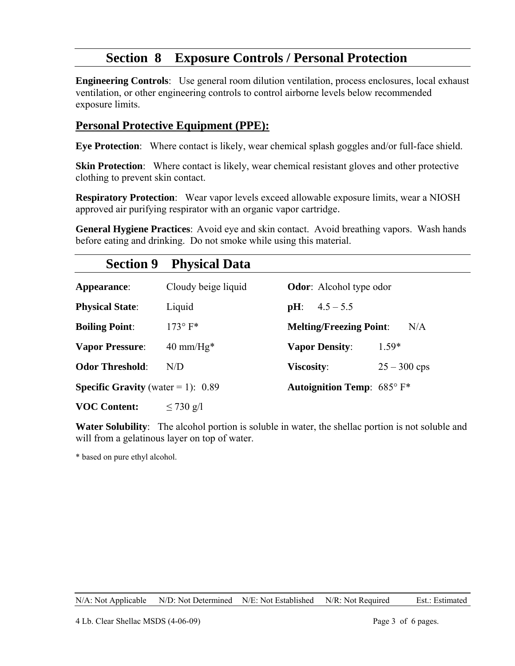# **Section 8 Exposure Controls / Personal Protection**

**Engineering Controls**: Use general room dilution ventilation, process enclosures, local exhaust ventilation, or other engineering controls to control airborne levels below recommended exposure limits.

### **Personal Protective Equipment (PPE):**

**Eye Protection**: Where contact is likely, wear chemical splash goggles and/or full-face shield.

**Skin Protection**: Where contact is likely, wear chemical resistant gloves and other protective clothing to prevent skin contact.

**Respiratory Protection**: Wear vapor levels exceed allowable exposure limits, wear a NIOSH approved air purifying respirator with an organic vapor cartridge.

**General Hygiene Practices**: Avoid eye and skin contact. Avoid breathing vapors. Wash hands before eating and drinking. Do not smoke while using this material.

| <b>Section 9</b>                            | <b>Physical Data</b>        |                                               |
|---------------------------------------------|-----------------------------|-----------------------------------------------|
| Appearance:                                 | Cloudy beige liquid         | <b>Odor:</b> Alcohol type odor                |
| <b>Physical State:</b>                      | Liquid                      | $4.5 - 5.5$<br>$\mathbf{p}$ H:                |
| <b>Boiling Point:</b>                       | $173^\circ$ F*              | <b>Melting/Freezing Point:</b><br>N/A         |
| <b>Vapor Pressure:</b>                      | $40 \text{ mm}/\text{Hg}^*$ | $1.59*$<br><b>Vapor Density:</b>              |
| <b>Odor Threshold:</b>                      | N/D                         | Viscosity:<br>$25 - 300$ cps                  |
| <b>Specific Gravity</b> (water = 1): $0.89$ |                             | <b>Autoignition Temp:</b> $685^{\circ}$ $F^*$ |
| <b>VOC Content:</b>                         | $\leq$ 730 g/l              |                                               |

**Water Solubility**: The alcohol portion is soluble in water, the shellac portion is not soluble and will from a gelatinous layer on top of water.

\* based on pure ethyl alcohol.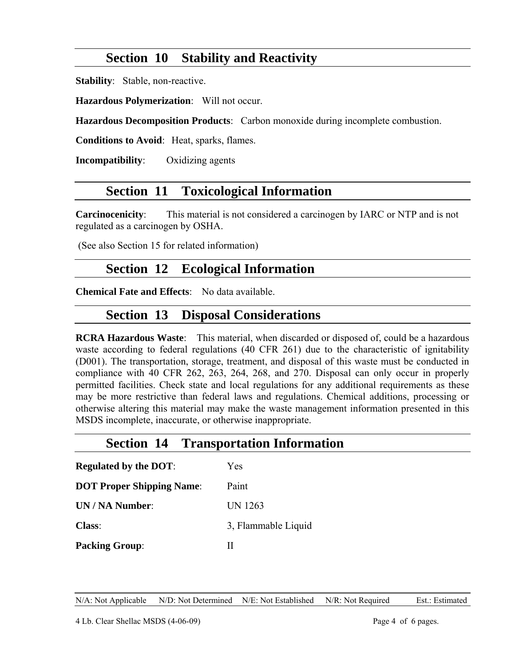# **Section 10 Stability and Reactivity**

**Stability**: Stable, non-reactive.

**Hazardous Polymerization**: Will not occur.

**Hazardous Decomposition Products**: Carbon monoxide during incomplete combustion.

**Conditions to Avoid**: Heat, sparks, flames.

**Incompatibility**: Oxidizing agents

## **Section 11 Toxicological Information**

**Carcinocenicity**: This material is not considered a carcinogen by IARC or NTP and is not regulated as a carcinogen by OSHA.

(See also Section 15 for related information)

## **Section 12 Ecological Information**

**Chemical Fate and Effects**: No data available.

### **Section 13 Disposal Considerations**

**RCRA Hazardous Waste**: This material, when discarded or disposed of, could be a hazardous waste according to federal regulations (40 CFR 261) due to the characteristic of ignitability (D001). The transportation, storage, treatment, and disposal of this waste must be conducted in compliance with 40 CFR 262, 263, 264, 268, and 270. Disposal can only occur in properly permitted facilities. Check state and local regulations for any additional requirements as these may be more restrictive than federal laws and regulations. Chemical additions, processing or otherwise altering this material may make the waste management information presented in this MSDS incomplete, inaccurate, or otherwise inappropriate.

### **Section 14 Transportation Information**

| <b>Regulated by the DOT:</b>     | Yes                 |
|----------------------------------|---------------------|
| <b>DOT Proper Shipping Name:</b> | Paint               |
| UN / NA Number:                  | <b>UN 1263</b>      |
| <b>Class:</b>                    | 3, Flammable Liquid |
| <b>Packing Group:</b>            | н                   |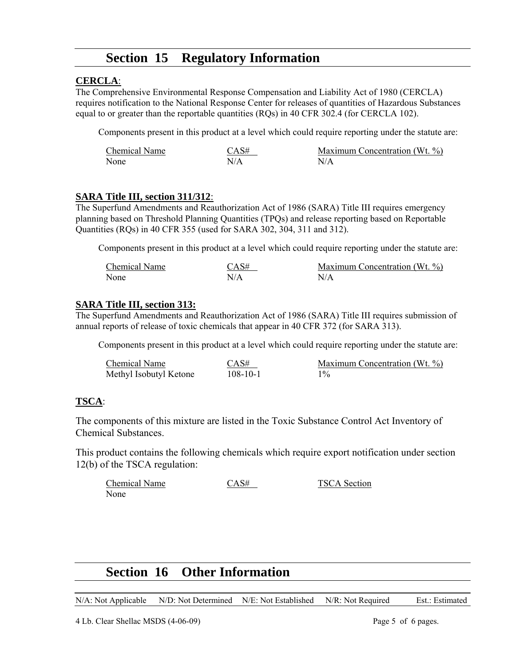## **Section 15 Regulatory Information**

### **CERCLA**:

The Comprehensive Environmental Response Compensation and Liability Act of 1980 (CERCLA) requires notification to the National Response Center for releases of quantities of Hazardous Substances equal to or greater than the reportable quantities (RQs) in 40 CFR 302.4 (for CERCLA 102).

Components present in this product at a level which could require reporting under the statute are:

| Chemical Name | CAS# | Maximum Concentration (Wt. %) |
|---------------|------|-------------------------------|
| None          | N/A  | N/A                           |

### **SARA Title III, section 311/312**:

The Superfund Amendments and Reauthorization Act of 1986 (SARA) Title III requires emergency planning based on Threshold Planning Quantities (TPQs) and release reporting based on Reportable Quantities (RQs) in 40 CFR 355 (used for SARA 302, 304, 311 and 312).

Components present in this product at a level which could require reporting under the statute are:

| <b>Chemical Name</b> | CAS# | Maximum Concentration (Wt. %) |
|----------------------|------|-------------------------------|
| None                 | N/A  | N/A                           |

### **SARA Title III, section 313:**

The Superfund Amendments and Reauthorization Act of 1986 (SARA) Title III requires submission of annual reports of release of toxic chemicals that appear in 40 CFR 372 (for SARA 313).

Components present in this product at a level which could require reporting under the statute are:

| Chemical Name          | CAS#           | Maximum Concentration (Wt. %) |
|------------------------|----------------|-------------------------------|
| Methyl Isobutyl Ketone | $108 - 10 - 1$ | $1\%$                         |

### **TSCA**:

The components of this mixture are listed in the Toxic Substance Control Act Inventory of Chemical Substances.

This product contains the following chemicals which require export notification under section 12(b) of the TSCA regulation:

| Chemical Name | CAS# | <b>TSCA</b> Section |
|---------------|------|---------------------|
| None          |      |                     |

## **Section 16 Other Information**